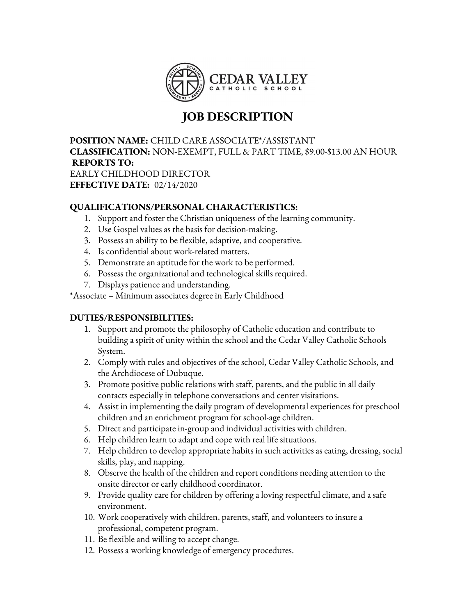

## **JOB DESCRIPTION**

**POSITION NAME:** CHILD CARE ASSOCIATE\*/ASSISTANT **CLASSIFICATION:** NON**-**EXEMPT, FULL & PART TIME, \$9.00-\$13.00 AN HOUR **REPORTS TO:** EARLY CHILDHOOD DIRECTOR **EFFECTIVE DATE:** 02/14/2020

## **QUALIFICATIONS/PERSONAL CHARACTERISTICS:**

- 1. Support and foster the Christian uniqueness of the learning community.
- 2. Use Gospel values as the basis for decision-making.
- 3. Possess an ability to be flexible, adaptive, and cooperative.
- 4. Is confidential about work-related matters.
- 5. Demonstrate an aptitude for the work to be performed.
- 6. Possess the organizational and technological skills required.
- 7. Displays patience and understanding.

\*Associate – Minimum associates degree in Early Childhood

## **DUTIES/RESPONSIBILITIES:**

- 1. Support and promote the philosophy of Catholic education and contribute to building a spirit of unity within the school and the Cedar Valley Catholic Schools System.
- 2. Comply with rules and objectives of the school, Cedar Valley Catholic Schools, and the Archdiocese of Dubuque.
- 3. Promote positive public relations with staff, parents, and the public in all daily contacts especially in telephone conversations and center visitations.
- 4. Assist in implementing the daily program of developmental experiences for preschool children and an enrichment program for school-age children.
- 5. Direct and participate in-group and individual activities with children.
- 6. Help children learn to adapt and cope with real life situations.
- 7. Help children to develop appropriate habits in such activities as eating, dressing, social skills, play, and napping.
- 8. Observe the health of the children and report conditions needing attention to the onsite director or early childhood coordinator.
- 9. Provide quality care for children by offering a loving respectful climate, and a safe environment.
- 10. Work cooperatively with children, parents, staff, and volunteers to insure a professional, competent program.
- 11. Be flexible and willing to accept change.
- 12. Possess a working knowledge of emergency procedures.